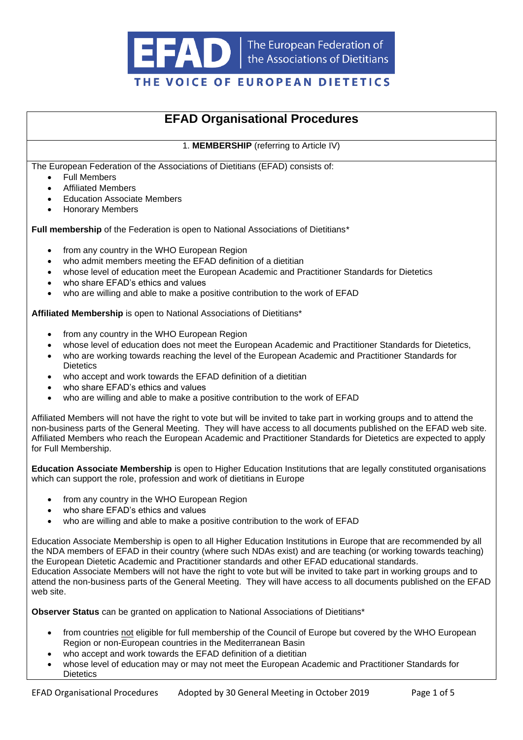

## THE VOICE OF EUROPEAN DIETETICS

# **EFAD Organisational Procedures**

1. **MEMBERSHIP** (referring to Article IV)

The European Federation of the Associations of Dietitians (EFAD) consists of:

- **Full Members**
- Affiliated Members
- Education Associate Members
- Honorary Members

**Full membership** of the Federation is open to National Associations of Dietitians<sup>\*</sup>

- from any country in the WHO European Region
- who admit members meeting the EFAD definition of a dietitian
- whose level of education meet the European Academic and Practitioner Standards for Dietetics
- who share EFAD's ethics and values
- who are willing and able to make a positive contribution to the work of EFAD

**Affiliated Membership** is open to National Associations of Dietitians\*

- from any country in the WHO European Region
- whose level of education does not meet the European Academic and Practitioner Standards for Dietetics,
- who are working towards reaching the level of the European Academic and Practitioner Standards for **Dietetics**
- who accept and work towards the EFAD definition of a dietitian
- who share EFAD's ethics and values
- who are willing and able to make a positive contribution to the work of EFAD

Affiliated Members will not have the right to vote but will be invited to take part in working groups and to attend the non-business parts of the General Meeting. They will have access to all documents published on the EFAD web site. Affiliated Members who reach the European Academic and Practitioner Standards for Dietetics are expected to apply for Full Membership.

**Education Associate Membership** is open to Higher Education Institutions that are legally constituted organisations which can support the role, profession and work of dietitians in Europe

- from any country in the WHO European Region
- who share EFAD's ethics and values
- who are willing and able to make a positive contribution to the work of EFAD

Education Associate Membership is open to all Higher Education Institutions in Europe that are recommended by all the NDA members of EFAD in their country (where such NDAs exist) and are teaching (or working towards teaching) the European Dietetic Academic and Practitioner standards and other EFAD educational standards. Education Associate Members will not have the right to vote but will be invited to take part in working groups and to attend the non-business parts of the General Meeting. They will have access to all documents published on the EFAD web site.

**Observer Status** can be granted on application to National Associations of Dietitians\*

- from countries not eligible for full membership of the Council of Europe but covered by the WHO European Region or non-European countries in the Mediterranean Basin
- who accept and work towards the EFAD definition of a dietitian
- whose level of education may or may not meet the European Academic and Practitioner Standards for **Dietetics**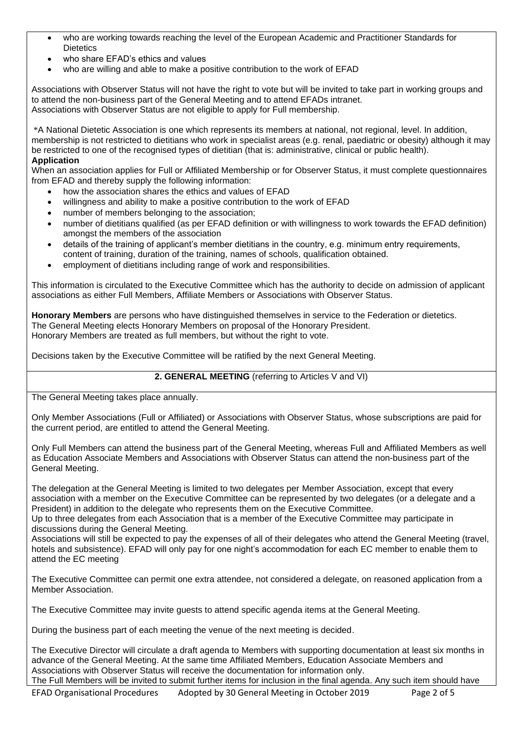- who are working towards reaching the level of the European Academic and Practitioner Standards for **Dietetics**
- who share EFAD's ethics and values
- who are willing and able to make a positive contribution to the work of EFAD

Associations with Observer Status will not have the right to vote but will be invited to take part in working groups and to attend the non-business part of the General Meeting and to attend EFADs intranet. Associations with Observer Status are not eligible to apply for Full membership.

\*A National Dietetic Association is one which represents its members at national, not regional, level. In addition, membership is not restricted to dietitians who work in specialist areas (e.g. renal, paediatric or obesity) although it may be restricted to one of the recognised types of dietitian (that is: administrative, clinical or public health). **Application**

When an association applies for Full or Affiliated Membership or for Observer Status, it must complete questionnaires from EFAD and thereby supply the following information:

- how the association shares the ethics and values of EFAD
- willingness and ability to make a positive contribution to the work of EFAD
- number of members belonging to the association;
- number of dietitians qualified (as per EFAD definition or with willingness to work towards the EFAD definition) amongst the members of the association
- details of the training of applicant's member dietitians in the country, e.g. minimum entry requirements, content of training, duration of the training, names of schools, qualification obtained.
- employment of dietitians including range of work and responsibilities.

This information is circulated to the Executive Committee which has the authority to decide on admission of applicant associations as either Full Members, Affiliate Members or Associations with Observer Status.

**Honorary Members** are persons who have distinguished themselves in service to the Federation or dietetics. The General Meeting elects Honorary Members on proposal of the Honorary President. Honorary Members are treated as full members, but without the right to vote.

Decisions taken by the Executive Committee will be ratified by the next General Meeting.

#### **2. GENERAL MEETING** (referring to Articles V and VI)

The General Meeting takes place annually.

Only Member Associations (Full or Affiliated) or Associations with Observer Status, whose subscriptions are paid for the current period, are entitled to attend the General Meeting.

Only Full Members can attend the business part of the General Meeting, whereas Full and Affiliated Members as well as Education Associate Members and Associations with Observer Status can attend the non-business part of the General Meeting.

The delegation at the General Meeting is limited to two delegates per Member Association, except that every association with a member on the Executive Committee can be represented by two delegates (or a delegate and a President) in addition to the delegate who represents them on the Executive Committee.

Up to three delegates from each Association that is a member of the Executive Committee may participate in discussions during the General Meeting.

Associations will still be expected to pay the expenses of all of their delegates who attend the General Meeting (travel, hotels and subsistence). EFAD will only pay for one night's accommodation for each EC member to enable them to attend the EC meeting

The Executive Committee can permit one extra attendee, not considered a delegate, on reasoned application from a Member Association.

The Executive Committee may invite guests to attend specific agenda items at the General Meeting.

During the business part of each meeting the venue of the next meeting is decided.

The Executive Director will circulate a draft agenda to Members with supporting documentation at least six months in advance of the General Meeting. At the same time Affiliated Members, Education Associate Members and Associations with Observer Status will receive the documentation for information only.

The Full Members will be invited to submit further items for inclusion in the final agenda. Any such item should have

EFAD Organisational Procedures Adopted by 30 General Meeting in October 2019 Page 2 of 5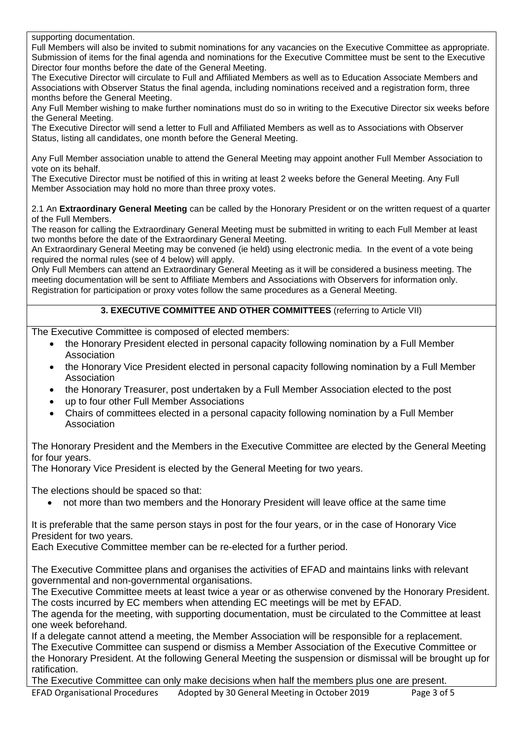supporting documentation.

Full Members will also be invited to submit nominations for any vacancies on the Executive Committee as appropriate. Submission of items for the final agenda and nominations for the Executive Committee must be sent to the Executive Director four months before the date of the General Meeting.

The Executive Director will circulate to Full and Affiliated Members as well as to Education Associate Members and Associations with Observer Status the final agenda, including nominations received and a registration form, three months before the General Meeting.

Any Full Member wishing to make further nominations must do so in writing to the Executive Director six weeks before the General Meeting.

The Executive Director will send a letter to Full and Affiliated Members as well as to Associations with Observer Status, listing all candidates, one month before the General Meeting.

Any Full Member association unable to attend the General Meeting may appoint another Full Member Association to vote on its behalf.

The Executive Director must be notified of this in writing at least 2 weeks before the General Meeting. Any Full Member Association may hold no more than three proxy votes.

2.1 An **Extraordinary General Meeting** can be called by the Honorary President or on the written request of a quarter of the Full Members.

The reason for calling the Extraordinary General Meeting must be submitted in writing to each Full Member at least two months before the date of the Extraordinary General Meeting.

An Extraordinary General Meeting may be convened (ie held) using electronic media. In the event of a vote being required the normal rules (see of 4 below) will apply.

Only Full Members can attend an Extraordinary General Meeting as it will be considered a business meeting. The meeting documentation will be sent to Affiliate Members and Associations with Observers for information only. Registration for participation or proxy votes follow the same procedures as a General Meeting.

### **3. EXECUTIVE COMMITTEE AND OTHER COMMITTEES** (referring to Article VII)

The Executive Committee is composed of elected members:

- the Honorary President elected in personal capacity following nomination by a Full Member Association
- the Honorary Vice President elected in personal capacity following nomination by a Full Member Association
- the Honorary Treasurer, post undertaken by a Full Member Association elected to the post
- up to four other Full Member Associations
- Chairs of committees elected in a personal capacity following nomination by a Full Member Association

The Honorary President and the Members in the Executive Committee are elected by the General Meeting for four years.

The Honorary Vice President is elected by the General Meeting for two years.

The elections should be spaced so that:

• not more than two members and the Honorary President will leave office at the same time

It is preferable that the same person stays in post for the four years, or in the case of Honorary Vice President for two years.

Each Executive Committee member can be re-elected for a further period.

The Executive Committee plans and organises the activities of EFAD and maintains links with relevant governmental and non-governmental organisations.

The Executive Committee meets at least twice a year or as otherwise convened by the Honorary President. The costs incurred by EC members when attending EC meetings will be met by EFAD.

The agenda for the meeting, with supporting documentation, must be circulated to the Committee at least one week beforehand.

If a delegate cannot attend a meeting, the Member Association will be responsible for a replacement. The Executive Committee can suspend or dismiss a Member Association of the Executive Committee or the Honorary President. At the following General Meeting the suspension or dismissal will be brought up for ratification.

The Executive Committee can only make decisions when half the members plus one are present.

EFAD Organisational Procedures Adopted by 30 General Meeting in October 2019 Page 3 of 5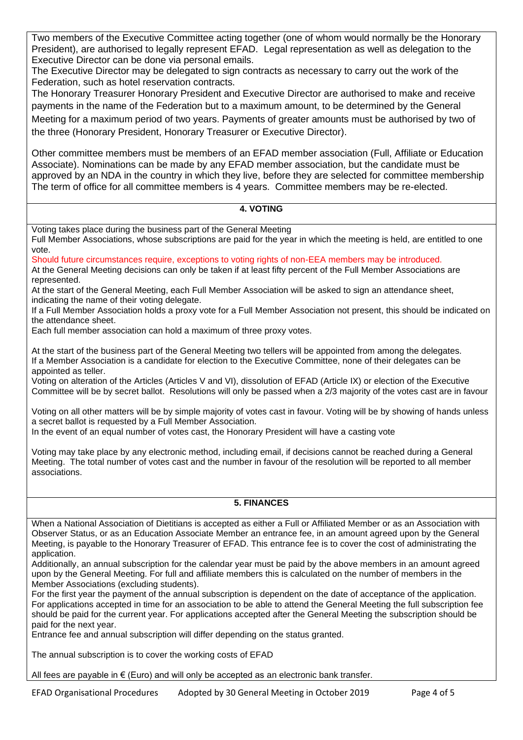Two members of the Executive Committee acting together (one of whom would normally be the Honorary President), are authorised to legally represent EFAD. Legal representation as well as delegation to the Executive Director can be done via personal emails.

The Executive Director may be delegated to sign contracts as necessary to carry out the work of the Federation, such as hotel reservation contracts.

The Honorary Treasurer Honorary President and Executive Director are authorised to make and receive payments in the name of the Federation but to a maximum amount, to be determined by the General Meeting for a maximum period of two years. Payments of greater amounts must be authorised by two of the three (Honorary President, Honorary Treasurer or Executive Director).

Other committee members must be members of an EFAD member association (Full, Affiliate or Education Associate). Nominations can be made by any EFAD member association, but the candidate must be approved by an NDA in the country in which they live, before they are selected for committee membership The term of office for all committee members is 4 years. Committee members may be re-elected.

#### **4. VOTING**

Voting takes place during the business part of the General Meeting

Full Member Associations, whose subscriptions are paid for the year in which the meeting is held, are entitled to one vote.

Should future circumstances require, exceptions to voting rights of non-EEA members may be introduced. At the General Meeting decisions can only be taken if at least fifty percent of the Full Member Associations are represented.

At the start of the General Meeting, each Full Member Association will be asked to sign an attendance sheet, indicating the name of their voting delegate.

If a Full Member Association holds a proxy vote for a Full Member Association not present, this should be indicated on the attendance sheet.

Each full member association can hold a maximum of three proxy votes.

At the start of the business part of the General Meeting two tellers will be appointed from among the delegates. If a Member Association is a candidate for election to the Executive Committee, none of their delegates can be appointed as teller.

Voting on alteration of the Articles (Articles V and VI), dissolution of EFAD (Article IX) or election of the Executive Committee will be by secret ballot. Resolutions will only be passed when a 2/3 majority of the votes cast are in favour

Voting on all other matters will be by simple majority of votes cast in favour. Voting will be by showing of hands unless a secret ballot is requested by a Full Member Association.

In the event of an equal number of votes cast, the Honorary President will have a casting vote

Voting may take place by any electronic method, including email, if decisions cannot be reached during a General Meeting. The total number of votes cast and the number in favour of the resolution will be reported to all member associations.

#### **5. FINANCES**

When a National Association of Dietitians is accepted as either a Full or Affiliated Member or as an Association with Observer Status, or as an Education Associate Member an entrance fee, in an amount agreed upon by the General Meeting, is payable to the Honorary Treasurer of EFAD. This entrance fee is to cover the cost of administrating the application.

Additionally, an annual subscription for the calendar year must be paid by the above members in an amount agreed upon by the General Meeting. For full and affiliate members this is calculated on the number of members in the Member Associations (excluding students).

For the first year the payment of the annual subscription is dependent on the date of acceptance of the application. For applications accepted in time for an association to be able to attend the General Meeting the full subscription fee should be paid for the current year. For applications accepted after the General Meeting the subscription should be paid for the next year.

Entrance fee and annual subscription will differ depending on the status granted.

The annual subscription is to cover the working costs of EFAD

All fees are payable in  $\epsilon$  (Euro) and will only be accepted as an electronic bank transfer.